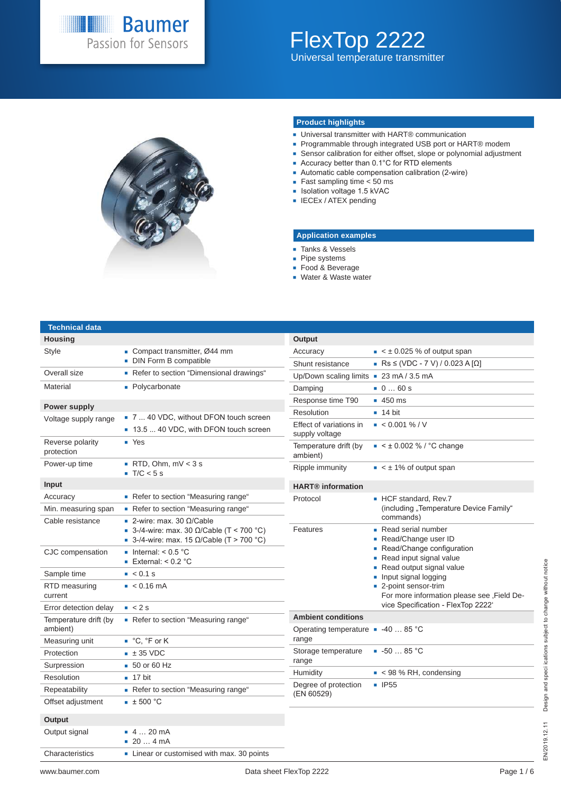

### FlexTop 2222 Universal temperature transmitter



#### **Product highlights**

- Universal transmitter with HART<sup>®</sup> communication
- Programmable through integrated USB port or HART<sup>®</sup> modem
- Sensor calibration for either offset, slope or polynomial adjustment
- Accuracy better than 0.1°C for RTD elements
- Automatic cable compensation calibration (2-wire)
- Fast sampling time  $<$  50 ms
- Isolation voltage 1.5 kVAC
- **IECEx / ATEX pending**

#### **Application examples**

- **Tanks & Vessels**
- Pipe systems
- Food & Beverage
- Water & Waste water

#### **Technical data**

| <b>Housing</b>                    |                                                                                                                                  |
|-----------------------------------|----------------------------------------------------------------------------------------------------------------------------------|
| <b>Style</b>                      | ■ Compact transmitter, Ø44 mm<br>• DIN Form B compatible                                                                         |
| Overall size                      | Refer to section "Dimensional drawings"                                                                                          |
| Material                          | • Polycarbonate                                                                                                                  |
| <b>Power supply</b>               |                                                                                                                                  |
| Voltage supply range              | ■ 7  40 VDC, without DFON touch screen                                                                                           |
|                                   | 13.5  40 VDC, with DFON touch screen                                                                                             |
| Reverse polarity<br>protection    | $\blacksquare$ Yes                                                                                                               |
| Power-up time                     | $\blacksquare$ RTD, Ohm, mV < 3 s<br>$\blacksquare$ T/C < 5 s                                                                    |
| Input                             |                                                                                                                                  |
| Accuracy                          | Refer to section "Measuring range"                                                                                               |
| Min. measuring span               | Refer to section "Measuring range"                                                                                               |
| Cable resistance                  | $\blacksquare$ 2-wire: max. 30 Ω/Cable<br>■ 3-/4-wire: max. 30 Ω/Cable (T < 700 °C)<br>■ 3-/4-wire: max. 15 Ω/Cable (T > 700 °C) |
| CJC compensation                  | lnternal: $< 0.5$ °C<br><b>External:</b> $< 0.2$ °C                                                                              |
| Sample time                       | $\approx 0.1$ s                                                                                                                  |
| RTD measuring<br>current          | $\leq 0.16 \text{ mA}$                                                                                                           |
| Error detection delay             | $\sim 2s$                                                                                                                        |
| Temperature drift (by<br>ambient) | Refer to section "Measuring range"                                                                                               |
| Measuring unit                    | ■ °C, °F or K                                                                                                                    |
| Protection                        | $\pm$ 35 VDC                                                                                                                     |
| Surpression                       | $\overline{50}$ or 60 Hz                                                                                                         |
| Resolution                        | $\blacksquare$ 17 bit                                                                                                            |
| Repeatability                     | Refer to section "Measuring range"                                                                                               |
| Offset adjustment                 | $\pm$ 500 °C                                                                                                                     |
| <b>Output</b>                     |                                                                                                                                  |
| Output signal                     | $-420$ mA<br>204mA                                                                                                               |
| Characteristics                   | • Linear or customised with max. 30 points                                                                                       |

| Output                                      |                                                                                                                                                                                                                                                                           |
|---------------------------------------------|---------------------------------------------------------------------------------------------------------------------------------------------------------------------------------------------------------------------------------------------------------------------------|
| Accuracy                                    | $\leq$ $\pm$ 0.025 % of output span                                                                                                                                                                                                                                       |
| Shunt resistance                            | ■ Rs ≤ (VDC - 7 V) / 0.023 A [Ω]                                                                                                                                                                                                                                          |
| Up/Down scaling limits                      | $= 23 \text{ mA} / 3.5 \text{ mA}$                                                                                                                                                                                                                                        |
| Damping                                     | 060s                                                                                                                                                                                                                                                                      |
| Response time T90                           | $\blacksquare$ 450 ms                                                                                                                                                                                                                                                     |
| Resolution                                  | $\blacksquare$ 14 bit                                                                                                                                                                                                                                                     |
| Effect of variations in<br>supply voltage   | $\approx 0.001\%$ / V                                                                                                                                                                                                                                                     |
| Temperature drift (by<br>ambient)           | $\bullet$ < $\pm$ 0.002 % / °C change                                                                                                                                                                                                                                     |
| Ripple immunity                             | $\leq$ $\pm$ 1% of output span                                                                                                                                                                                                                                            |
| <b>HART®</b> information                    |                                                                                                                                                                                                                                                                           |
| Protocol                                    | ■ HCF standard, Rev.7<br>(including "Temperature Device Family"<br>commands)                                                                                                                                                                                              |
| Features                                    | ■ Read serial number<br>• Read/Change user ID<br>Read/Change configuration<br>Read input signal value<br>Read output signal value<br>• Input signal logging<br>■ 2-point sensor-trim<br>For more information please see , Field De-<br>vice Specification - FlexTop 2222' |
| <b>Ambient conditions</b>                   |                                                                                                                                                                                                                                                                           |
| Operating temperature ■ -40  85 °C<br>range |                                                                                                                                                                                                                                                                           |
| Storage temperature<br>range                | $-5085 °C$                                                                                                                                                                                                                                                                |
| Humidity                                    | $\approx$ < 98 % RH, condensing                                                                                                                                                                                                                                           |
| Degree of protection<br>(EN 60529)          | ■ IP55                                                                                                                                                                                                                                                                    |
|                                             |                                                                                                                                                                                                                                                                           |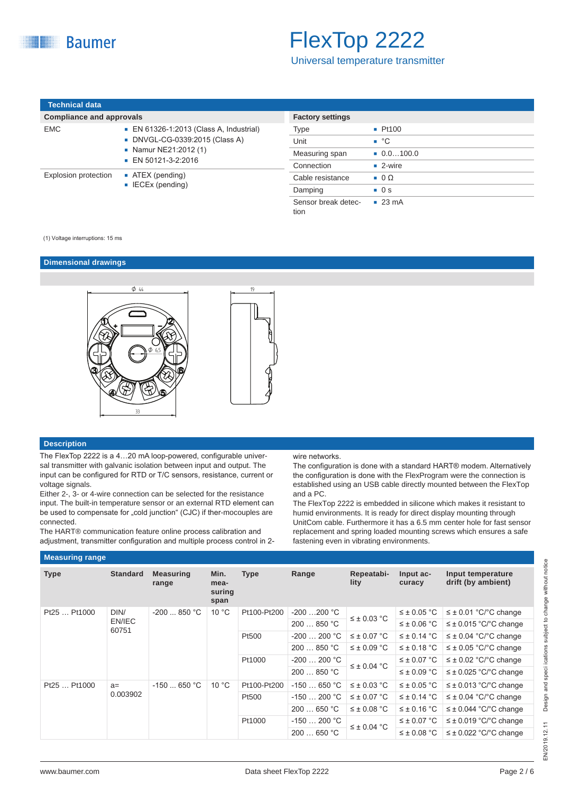Universal temperature transmitter

| Technical data                  |                   |
|---------------------------------|-------------------|
| <b>Compliance and approvals</b> |                   |
| FMC.                            | $\blacksquare$ FN |

| EMC                  | • EN 61326-1:2013 (Class A, Industrial)<br>■ DNVGL-CG-0339:2015 (Class A)<br>• Namur NE21:2012 (1)<br>$\blacksquare$ EN 50121-3-2:2016 |
|----------------------|----------------------------------------------------------------------------------------------------------------------------------------|
| Explosion protection | $\blacksquare$ ATEX (pending)<br>$\blacksquare$ IECEx (pending)                                                                        |

| <b>Factory settings</b>     |                           |
|-----------------------------|---------------------------|
| Type                        | Pt100                     |
| Unit                        | $\bullet$ °C              |
| Measuring span              | $\blacksquare$ 0.0100.0   |
| Connection                  | $\blacksquare$ 2-wire     |
| Cable resistance            | $\blacksquare$ 0 $\Omega$ |
| Damping                     | $\blacksquare$ 0 s        |
| Sensor break detec-<br>tion | $\sqrt{23}$ mA            |

#### (1) Voltage interruptions: 15 ms

#### **Dimensional drawings**



#### **Description**

The FlexTop 2222 is a 4…20 mA loop-powered, configurable universal transmitter with galvanic isolation between input and output. The input can be configured for RTD or T/C sensors, resistance, current or voltage signals.

Either 2-, 3- or 4-wire connection can be selected for the resistance input. The built-in temperature sensor or an external RTD element can be used to compensate for "cold junction" (CJC) if ther-mocouples are connected.

The HART® communication feature online process calibration and adjustment, transmitter configuration and multiple process control in 2wire networks.

The configuration is done with a standard HART® modem. Alternatively the configuration is done with the FlexProgram were the connection is established using an USB cable directly mounted between the FlexTop and a PC.

The FlexTop 2222 is embedded in silicone which makes it resistant to humid environments. It is ready for direct display mounting through UnitCom cable. Furthermore it has a 6.5 mm center hole for fast sensor replacement and spring loaded mounting screws which ensures a safe fastening even in vibrating environments.

| <b>Measuring range</b> |                 |                           |                                |             |              |                    |                     |                                         |  |  |
|------------------------|-----------------|---------------------------|--------------------------------|-------------|--------------|--------------------|---------------------|-----------------------------------------|--|--|
| <b>Type</b>            | <b>Standard</b> | <b>Measuring</b><br>range | Min.<br>mea-<br>suring<br>span | <b>Type</b> | Range        | Repeatabi-<br>lity | Input ac-<br>curacy | Input temperature<br>drift (by ambient) |  |  |
| Pt25  Pt1000           | DIN/            | $-200850 °C$              | 10 °C                          | Pt100-Pt200 | $-200200 °C$ | $\leq \pm 0.03$ °C | $\leq \pm 0.05$ °C  | $\leq \pm 0.01$ °C/°C change            |  |  |
|                        | EN/IEC<br>60751 |                           |                                |             | 200850 °C    |                    | $\leq \pm 0.06$ °C  | $\leq \pm 0.015$ °C/°C change           |  |  |
|                        |                 |                           |                                | Pt500       | $-200200 °C$ | $\leq \pm 0.07$ °C | $\leq \pm 0.14$ °C  | $\leq \pm 0.04$ °C/°C change            |  |  |
|                        |                 |                           |                                |             | 200850 °C    | $\leq \pm 0.09$ °C | $\leq \pm 0.18$ °C  | $\leq \pm 0.05$ °C/°C change            |  |  |
|                        |                 |                           |                                | Pt1000      | $-200200 °C$ | $\leq \pm 0.04$ °C | $\leq \pm 0.07$ °C  | $\leq \pm 0.02$ °C/°C change            |  |  |
|                        |                 |                           |                                |             | 200  850 °C  |                    | $\leq \pm 0.09$ °C  | $\leq \pm 0.025$ °C/°C change           |  |  |
| Pt25  Pt1000           | $a=$            | $-150650 °C$              | 10 °C                          | Pt100-Pt200 | $-150650 °C$ | $\leq \pm 0.03$ °C | $\leq \pm 0.05$ °C  | $\leq \pm 0.013$ °C/°C change           |  |  |
|                        | 0.003902        |                           |                                | Pt500       | $-150200 °C$ | $\leq \pm 0.07$ °C | $\leq \pm 0.14$ °C  | $\leq \pm 0.04$ °C/°C change            |  |  |
|                        |                 |                           |                                |             | 200  650 °C  | $\leq \pm 0.08$ °C | $\leq \pm 0.16$ °C  | $\leq \pm 0.044$ °C/°C change           |  |  |
|                        |                 |                           |                                | Pt1000      | $-150200 °C$ | $\leq \pm 0.04$ °C | $\leq \pm 0.07$ °C  | $\leq \pm 0.019$ °C/°C change           |  |  |
|                        |                 |                           |                                |             | 200650 °C    |                    | $\leq \pm 0.08$ °C  | $\leq \pm 0.022$ °C/°C change           |  |  |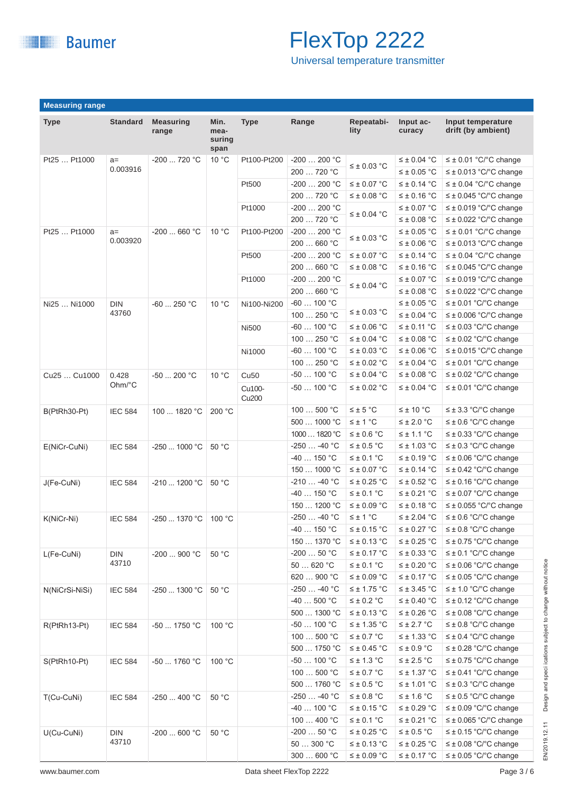

Universal temperature transmitter

|                | <b>Measuring range</b> |                           |                                |                             |                        |                    |                     |                                         |  |
|----------------|------------------------|---------------------------|--------------------------------|-----------------------------|------------------------|--------------------|---------------------|-----------------------------------------|--|
| <b>Type</b>    | <b>Standard</b>        | <b>Measuring</b><br>range | Min.<br>mea-<br>suring<br>span | <b>Type</b>                 | Range                  | Repeatabi-<br>lity | Input ac-<br>curacy | Input temperature<br>drift (by ambient) |  |
| Pt25  Pt1000   | $a=$                   | -200  720 °C              | 10 °C                          | Pt100-Pt200                 | $-200200 °C$           |                    | $\leq \pm 0.04$ °C  | $\leq \pm 0.01$ °C/°C change            |  |
|                | 0.003916               |                           |                                |                             | 200  720 °C            | $\leq \pm 0.03$ °C | $\leq \pm 0.05$ °C  | $\leq \pm 0.013$ °C/°C change           |  |
|                |                        |                           |                                | Pt500                       | $-200200 °C$           | $\leq \pm 0.07$ °C | $\leq \pm 0.14$ °C  | $\leq \pm 0.04$ °C/°C change            |  |
|                |                        |                           |                                |                             | 200  720 °C            | ≤ ± 0.08 °C        | $\leq \pm 0.16$ °C  | $\leq \pm 0.045$ °C/°C change           |  |
|                |                        |                           |                                | Pt1000                      | $-200200 °C$           |                    | $\leq \pm 0.07$ °C  | $\leq \pm 0.019$ °C/°C change           |  |
|                |                        |                           |                                |                             | 200  720 °C            | $\leq \pm 0.04$ °C | $\leq \pm 0.08$ °C  | $\leq \pm 0.022$ °C/°C change           |  |
| Pt25  Pt1000   | $a=$                   | $-200$ 660 °C             | 10 °C                          | Pt100-Pt200                 | $-200200 °C$           |                    | $\leq \pm 0.05$ °C  | $\leq \pm 0.01$ °C/°C change            |  |
|                | 0.003920               |                           |                                |                             | 200  660 °C            | $\leq \pm 0.03$ °C | $\leq \pm 0.06$ °C  | $\leq \pm 0.013$ °C/°C change           |  |
|                |                        |                           |                                | Pt500                       | $-200200 °C$           | $\leq \pm 0.07$ °C | $\leq \pm 0.14$ °C  | $\leq \pm 0.04$ °C/°C change            |  |
|                |                        |                           |                                |                             | 200  660 °C            | $\leq \pm 0.08$ °C | $\leq \pm 0.16$ °C  | $\leq \pm 0.045$ °C/°C change           |  |
|                |                        |                           |                                | Pt1000                      | $-200200 °C$           |                    | $\leq \pm 0.07$ °C  | $\leq \pm 0.019$ °C/°C change           |  |
|                |                        |                           |                                |                             | 200  660 °C            | $\leq \pm 0.04$ °C | $\leq \pm 0.08$ °C  | $\leq \pm 0.022$ °C/°C change           |  |
| Ni25  Ni1000   | <b>DIN</b>             | $-60$ 250 °C              | $10^{\circ}$ C                 | Ni100-Ni200                 | $-60$ 100 $^{\circ}$ C |                    | $\leq \pm 0.05$ °C  | $\leq \pm 0.01$ °C/°C change            |  |
|                | 43760                  |                           |                                |                             | 100  250 °C            | $\leq \pm 0.03$ °C | $\leq \pm 0.04$ °C  | $\leq \pm 0.006$ °C/°C change           |  |
|                |                        |                           |                                | <b>Ni500</b>                | $-60$ 100 $^{\circ}$ C | $\leq \pm$ 0.06 °C | $\leq \pm 0.11$ °C  | $\leq \pm 0.03$ °C/°C change            |  |
|                |                        |                           |                                |                             | 100  250 °C            | $\leq \pm 0.04$ °C | $\leq \pm 0.08$ °C  | $\leq \pm 0.02$ °C/°C change            |  |
|                |                        |                           |                                | Ni1000                      | $-60$ 100 $^{\circ}$ C | $\leq \pm 0.03$ °C | $\leq \pm 0.06$ °C  | $\leq \pm 0.015$ °C/°C change           |  |
|                |                        |                           |                                |                             | 100  250 °C            | $\leq \pm 0.02$ °C | $\leq \pm 0.04$ °C  | $\leq \pm 0.01$ °C/°C change            |  |
| Cu25  Cu1000   |                        | -50  200 °C               | $10^{\circ}$ C                 | <b>Cu50</b>                 | $-50$ 100 °C           | $\leq \pm 0.04$ °C | $\leq \pm 0.08$ °C  | $\leq \pm 0.02$ °C/°C change            |  |
|                | 0.428<br>Ohm/°C        |                           |                                |                             |                        |                    |                     |                                         |  |
|                |                        |                           |                                | Cu100-<br>Cu <sub>200</sub> | $-50$ 100 °C           | $\leq \pm 0.02$ °C | $\leq \pm 0.04$ °C  | $\leq \pm 0.01$ °C/°C change            |  |
| B(PtRh30-Pt)   | <b>IEC 584</b>         | 100  1820 °C              | 200 °C                         |                             | 100  500 °C            | $\leq \pm 5$ °C    | $\leq \pm 10$ °C    | $\leq \pm 3.3$ °C/°C change             |  |
|                |                        |                           |                                |                             | 500  1000 °C           | $\leq \pm 1$ °C    | $\leq \pm 2.0$ °C   | $\leq \pm 0.6$ °C/°C change             |  |
|                |                        |                           |                                |                             | 1000  1820 °C          | $\leq \pm 0.6$ °C  | $\leq \pm 1.1$ °C   | $\leq \pm 0.33$ °C/°C change            |  |
| E(NiCr-CuNi)   | <b>IEC 584</b>         | -250  1000 °C             | 50 °C                          |                             | $-250 -40 °C$          | $\leq \pm 0.5$ °C  | $\leq \pm 1.03$ °C  | $\leq \pm 0.3$ °C/°C change             |  |
|                |                        |                           |                                |                             | $-40$ 150 °C           | $\leq \pm$ 0.1 °C  | $\leq \pm 0.19$ °C  | $\leq \pm 0.06$ °C/°C change            |  |
|                |                        |                           |                                |                             | 150  1000 °C           | $\leq \pm 0.07$ °C | $\leq \pm 0.14$ °C  | $\leq \pm 0.42$ °C/°C change            |  |
| J(Fe-CuNi)     | <b>IEC 584</b>         | -210  1200 °C             | 50 °C                          |                             | $-210 -40 °C$          | $\leq \pm 0.25$ °C | $\leq \pm 0.52$ °C  | $\leq \pm 0.16$ °C/°C change            |  |
|                |                        |                           |                                |                             | $-40$ 150 °C           | $\leq \pm 0.1$ °C  | $\leq \pm 0.21$ °C  | $\leq \pm 0.07$ °C/°C change            |  |
|                |                        |                           |                                |                             | 150  1200 °C           | $\leq \pm 0.09$ °C | $\leq \pm 0.18$ °C  | $\leq \pm 0.055$ °C/°C change           |  |
| K(NiCr-Ni)     | <b>IEC 584</b>         | -250  1370 °C             | 100 °C                         |                             | -250  -40 °C           | $\leq \pm 1$ °C    | $\leq \pm 2.04$ °C  | $\leq \pm 0.6$ °C/°C change             |  |
|                |                        |                           |                                |                             | $-40$ 150 °C           | $\leq \pm$ 0.15 °C | $\leq \pm$ 0.27 °C  | $\leq \pm 0.8$ °C/°C change             |  |
|                |                        |                           |                                |                             | 150  1370 °C           | $\leq \pm 0.13$ °C | $\leq \pm 0.25$ °C  | $\leq \pm 0.75$ °C/°C change            |  |
| L(Fe-CuNi)     | <b>DIN</b>             | -200  900 °C              | 50 °C                          |                             | $-20050$ °C            | $\leq \pm$ 0.17 °C | $\leq \pm 0.33$ °C  | $\leq \pm 0.1$ °C/°C change             |  |
|                | 43710                  |                           |                                |                             | 50620 °C               | $\leq \pm 0.1$ °C  | $\leq \pm 0.20$ °C  | $\leq \pm 0.06$ °C/°C change            |  |
|                |                        |                           |                                |                             | 620  900 °C            | $\leq \pm 0.09$ °C | $\leq \pm 0.17$ °C  | $\leq \pm 0.05$ °C/°C change            |  |
| N(NiCrSi-NiSi) | <b>IEC 584</b>         | -250  1300 °C             | 50 °C                          |                             | $-250 -40$ °C          | $\leq \pm 1.75$ °C | $\leq \pm 3.45$ °C  | $\leq \pm 1.0$ °C/°C change             |  |
|                |                        |                           |                                |                             | $-40500 °C$            | $\leq \pm 0.2$ °C  | $\leq \pm 0.40$ °C  | $\leq \pm 0.12$ °C/°C change            |  |
|                |                        |                           |                                |                             | 500  1300 °C           | $\leq \pm 0.13$ °C | $\leq \pm 0.26$ °C  | $\leq \pm 0.08$ °C/°C change            |  |
| R(PtRh13-Pt)   | <b>IEC 584</b>         | -50  1750 °C              | 100 °C                         |                             | $-50100$ °C            | $\leq \pm 1.35$ °C | $\leq \pm 2.7$ °C   | $\leq \pm 0.8$ °C/°C change             |  |
|                |                        |                           |                                |                             | 100  500 °C            | $\leq \pm 0.7$ °C  | $\leq$ ± 1.33 °C    | $\leq \pm 0.4$ °C/°C change             |  |
|                |                        |                           |                                |                             | 500  1750 °C           | $\leq \pm 0.45$ °C | $\leq \pm 0.9$ °C   | $\leq \pm 0.28$ °C/°C change            |  |
| S(PtRh10-Pt)   | <b>IEC 584</b>         | -50  1760 °C              | 100 °C                         |                             | -50 $\ldots$ 100 °C    | $\leq \pm 1.3$ °C  | $\leq \pm 2.5$ °C   | $\leq \pm 0.75$ °C/°C change            |  |
|                |                        |                           |                                |                             | 100 $\dots$ 500 °C     | $\leq \pm 0.7$ °C  | $\leq \pm 1.37$ °C  | $\leq \pm 0.41$ °C/°C change            |  |
|                |                        |                           |                                |                             | 500  1760 °C           | $\leq \pm 0.5$ °C  | $\leq \pm 1.01$ °C  | $\leq \pm 0.3$ °C/°C change             |  |
| T(Cu-CuNi)     | <b>IEC 584</b>         | $-250400 °C$              | 50 °C                          |                             | $-250 -40 °C$          | $\leq \pm 0.8$ °C  | $\leq \pm 1.6$ °C   | $\leq \pm 0.5$ °C/°C change             |  |
|                |                        |                           |                                |                             | $-40$ 100 °C           | $\leq \pm 0.15$ °C | $\leq \pm 0.29$ °C  | $\leq \pm 0.09$ °C/°C change            |  |
|                |                        |                           |                                |                             | 100 $\dots$ 400 °C     | $\leq \pm 0.1$ °C  | $\leq \pm 0.21$ °C  | $\leq \pm 0.065$ °C/°C change           |  |
| U(Cu-CuNi)     | <b>DIN</b>             | $-200600 °C$              | 50 °C                          |                             | $-20050$ °C            | $\leq \pm 0.25$ °C | $\leq \pm 0.5$ °C   | $\leq \pm 0.15$ °C/°C change            |  |
|                | 43710                  |                           |                                |                             | 50  300 °C             | $\leq \pm 0.13$ °C | $\leq \pm 0.25$ °C  | $\leq \pm 0.08$ °C/°C change            |  |
|                |                        |                           |                                |                             | 300  600 °C            | $\leq \pm 0.09$ °C | $\leq \pm 0.17$ °C  | $\leq \pm 0.05$ °C/°C change            |  |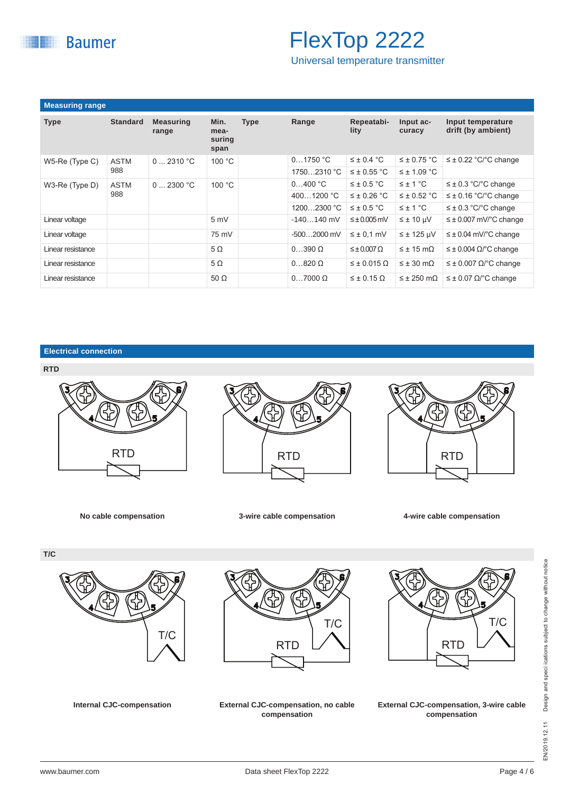

Universal temperature transmitter

| <b>Measuring range</b> |                    |                           |                                |             |                    |                         |                              |                                         |  |
|------------------------|--------------------|---------------------------|--------------------------------|-------------|--------------------|-------------------------|------------------------------|-----------------------------------------|--|
| <b>Type</b>            | <b>Standard</b>    | <b>Measuring</b><br>range | Min.<br>mea-<br>suring<br>span | <b>Type</b> | Range              | Repeatabi-<br>lity      | Input ac-<br>curacy          | Input temperature<br>drift (by ambient) |  |
| W5-Re (Type C)         | <b>ASTM</b>        | $0 \dots 2310 °C$         | 100 °C                         |             | 01750 °C           | $\leq \pm 0.4$ °C       | $\leq \pm 0.75$ °C           | $\leq \pm 0.22$ °C/°C change            |  |
|                        | 988                |                           |                                | 17502310 °C | $\leq \pm 0.55$ °C | $\leq \pm 1.09$ °C      |                              |                                         |  |
| W3-Re (Type D)         | <b>ASTM</b><br>988 | $0 \dots 2300 °C$         | 100 °C                         |             | 0400 °C            | $\leq \pm 0.5$ °C       | $\leq \pm 1$ °C              | $\leq \pm 0.3$ °C/°C change             |  |
|                        |                    |                           |                                | 4001200 °C  | $\leq \pm 0.26$ °C | $\leq \pm 0.52$ °C      | $\leq \pm 0.16$ °C/°C change |                                         |  |
|                        |                    |                           |                                |             | 12002300 °C        | $\leq \pm 0.5$ °C       | $\leq \pm 1$ °C              | $\leq \pm 0.3$ °C/°C change             |  |
| Linear voltage         |                    |                           | 5 mV                           |             | $-140140$ mV       | $\leq \pm 0.005$ mV     | $\leq \pm 10 \mu V$          | $\leq \pm 0.007$ mV/°C change           |  |
| Linear voltage         |                    |                           | 75 mV                          |             | $-5002000$ mV      | $\leq \pm 0.1$ mV       | $\leq \pm 125$ µV            | $\leq \pm 0.04$ mV/°C change            |  |
| Linear resistance      |                    |                           | $5\Omega$                      |             | $0390 \Omega$      | $\leq \pm 0.007 \Omega$ | $\leq \pm 15$ m $\Omega$     | $\leq \pm 0.004 \Omega$ C change        |  |
| Linear resistance      |                    |                           | $5\Omega$                      |             | $0820 \Omega$      | $\leq \pm 0.015 \Omega$ | $\leq \pm 30$ m $\Omega$     | $\leq \pm 0.007$ $\Omega$ C change      |  |
| Linear resistance      |                    |                           | 50 $\Omega$                    |             | $07000 \Omega$     | $\leq \pm 0.15 \Omega$  | $\leq \pm 250$ m $\Omega$    | $\leq \pm 0.07$ $\Omega$ /°C change     |  |

**Electrical connection**





**No cable compensation 3-wire cable compensation 4-wire cable compensation**







**Internal CJC-compensation External CJC-compensation, no cable compensation**



**External CJC-compensation, 3-wire cable compensation**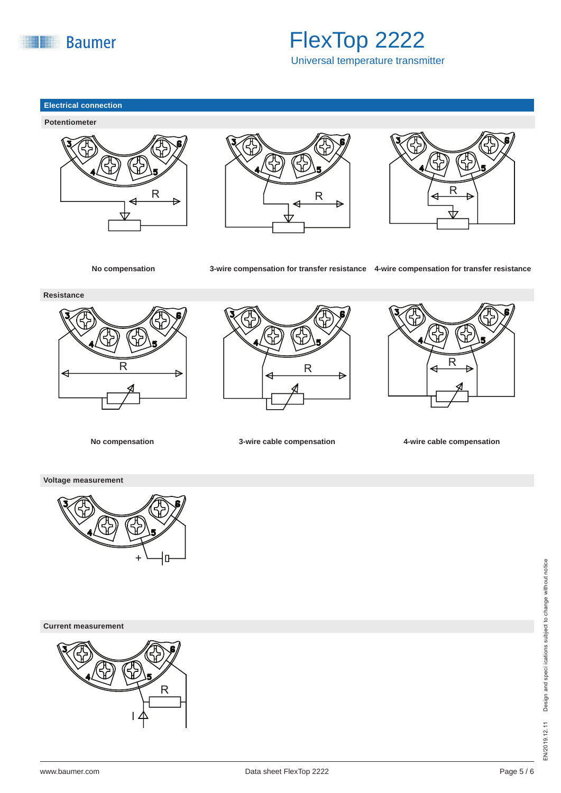

Universal temperature transmitter

#### **Electrical connection**









**No compensation 3-wire compensation for transfer resistance 4-wire compensation for transfer resistance**

**Resistance**



 $\overline{R}$   $\rightarrow$   $\begin{pmatrix} R & R & | & | & | & | & | & | \end{pmatrix}$ 



**No compensation 3-wire cable compensation 4-wire cable compensation**

**Voltage measurement**



**Current measurement**